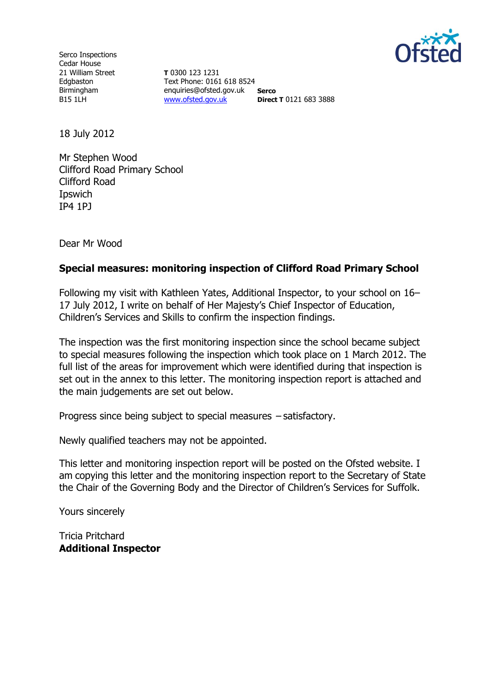

Serco Inspections Cedar House 21 William Street Edgbaston Birmingham B15 1LH

**T** 0300 123 1231 Text Phone: 0161 618 8524 enquiries@ofsted.gov.uk **Serco** [www.ofsted.gov.uk](http://www.ofsted.gov.uk/) **Direct T** 0121 683 3888

18 July 2012

Mr Stephen Wood Clifford Road Primary School Clifford Road **I**pswich IP4 1PJ

Dear Mr Wood

#### **Special measures: monitoring inspection of Clifford Road Primary School**

Following my visit with Kathleen Yates, Additional Inspector, to your school on 16– 17 July 2012, I write on behalf of Her Majesty's Chief Inspector of Education, Children's Services and Skills to confirm the inspection findings.

The inspection was the first monitoring inspection since the school became subject to special measures following the inspection which took place on 1 March 2012. The full list of the areas for improvement which were identified during that inspection is set out in the annex to this letter. The monitoring inspection report is attached and the main judgements are set out below.

Progress since being subject to special measures – satisfactory.

Newly qualified teachers may not be appointed.

This letter and monitoring inspection report will be posted on the Ofsted website. I am copying this letter and the monitoring inspection report to the Secretary of State the Chair of the Governing Body and the Director of Children's Services for Suffolk.

Yours sincerely

Tricia Pritchard **Additional Inspector**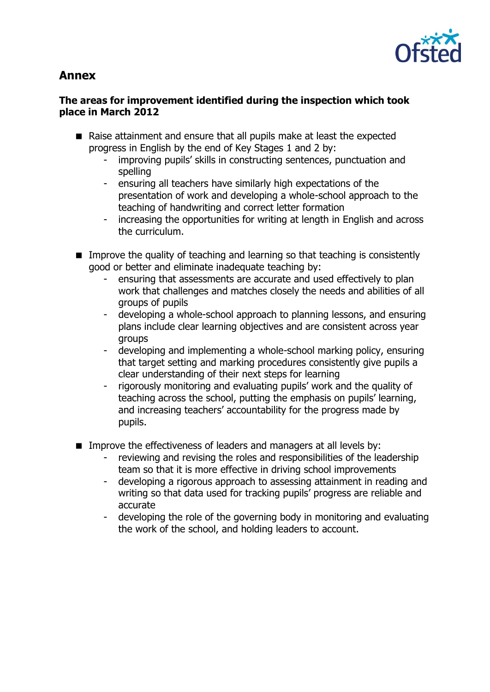

# **Annex**

## **The areas for improvement identified during the inspection which took place in March 2012**

- Raise attainment and ensure that all pupils make at least the expected progress in English by the end of Key Stages 1 and 2 by:
	- improving pupils' skills in constructing sentences, punctuation and spelling
	- ensuring all teachers have similarly high expectations of the presentation of work and developing a whole-school approach to the teaching of handwriting and correct letter formation
	- increasing the opportunities for writing at length in English and across the curriculum.
- **IMPROVE THE GUALARY OF teaching and learning so that teaching is consistently** good or better and eliminate inadequate teaching by:
	- ensuring that assessments are accurate and used effectively to plan work that challenges and matches closely the needs and abilities of all groups of pupils
	- developing a whole-school approach to planning lessons, and ensuring plans include clear learning objectives and are consistent across year groups
	- developing and implementing a whole-school marking policy, ensuring that target setting and marking procedures consistently give pupils a clear understanding of their next steps for learning
	- rigorously monitoring and evaluating pupils' work and the quality of teaching across the school, putting the emphasis on pupils' learning, and increasing teachers' accountability for the progress made by pupils.
- **IMPROVE THE EFFECT IVELESS OF leaders and managers at all levels by:** 
	- reviewing and revising the roles and responsibilities of the leadership team so that it is more effective in driving school improvements
	- developing a rigorous approach to assessing attainment in reading and writing so that data used for tracking pupils' progress are reliable and accurate
	- developing the role of the governing body in monitoring and evaluating the work of the school, and holding leaders to account.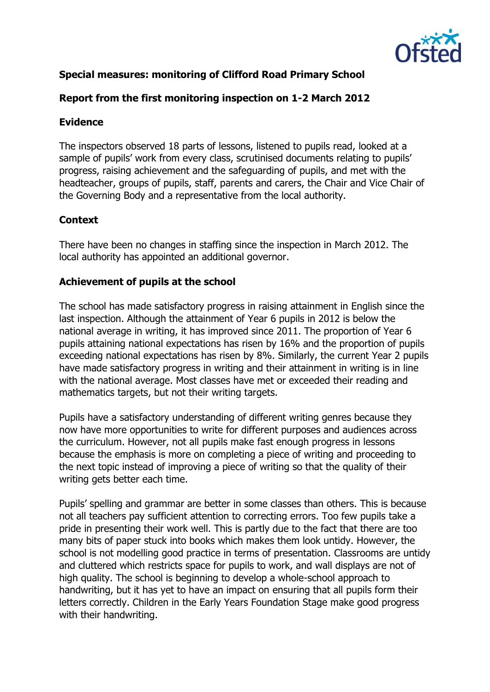

# **Special measures: monitoring of Clifford Road Primary School**

### **Report from the first monitoring inspection on 1-2 March 2012**

#### **Evidence**

The inspectors observed 18 parts of lessons, listened to pupils read, looked at a sample of pupils' work from every class, scrutinised documents relating to pupils' progress, raising achievement and the safeguarding of pupils, and met with the headteacher, groups of pupils, staff, parents and carers, the Chair and Vice Chair of the Governing Body and a representative from the local authority.

### **Context**

There have been no changes in staffing since the inspection in March 2012. The local authority has appointed an additional governor.

### **Achievement of pupils at the school**

The school has made satisfactory progress in raising attainment in English since the last inspection. Although the attainment of Year 6 pupils in 2012 is below the national average in writing, it has improved since 2011. The proportion of Year 6 pupils attaining national expectations has risen by 16% and the proportion of pupils exceeding national expectations has risen by 8%. Similarly, the current Year 2 pupils have made satisfactory progress in writing and their attainment in writing is in line with the national average. Most classes have met or exceeded their reading and mathematics targets, but not their writing targets.

Pupils have a satisfactory understanding of different writing genres because they now have more opportunities to write for different purposes and audiences across the curriculum. However, not all pupils make fast enough progress in lessons because the emphasis is more on completing a piece of writing and proceeding to the next topic instead of improving a piece of writing so that the quality of their writing gets better each time.

Pupils' spelling and grammar are better in some classes than others. This is because not all teachers pay sufficient attention to correcting errors. Too few pupils take a pride in presenting their work well. This is partly due to the fact that there are too many bits of paper stuck into books which makes them look untidy. However, the school is not modelling good practice in terms of presentation. Classrooms are untidy and cluttered which restricts space for pupils to work, and wall displays are not of high quality. The school is beginning to develop a whole-school approach to handwriting, but it has yet to have an impact on ensuring that all pupils form their letters correctly. Children in the Early Years Foundation Stage make good progress with their handwriting.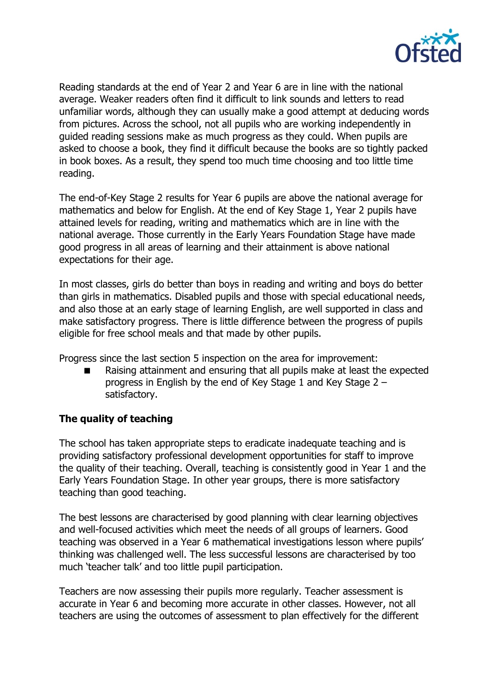

Reading standards at the end of Year 2 and Year 6 are in line with the national average. Weaker readers often find it difficult to link sounds and letters to read unfamiliar words, although they can usually make a good attempt at deducing words from pictures. Across the school, not all pupils who are working independently in guided reading sessions make as much progress as they could. When pupils are asked to choose a book, they find it difficult because the books are so tightly packed in book boxes. As a result, they spend too much time choosing and too little time reading.

The end-of-Key Stage 2 results for Year 6 pupils are above the national average for mathematics and below for English. At the end of Key Stage 1, Year 2 pupils have attained levels for reading, writing and mathematics which are in line with the national average. Those currently in the Early Years Foundation Stage have made good progress in all areas of learning and their attainment is above national expectations for their age.

In most classes, girls do better than boys in reading and writing and boys do better than girls in mathematics. Disabled pupils and those with special educational needs, and also those at an early stage of learning English, are well supported in class and make satisfactory progress. There is little difference between the progress of pupils eligible for free school meals and that made by other pupils.

Progress since the last section 5 inspection on the area for improvement:

 Raising attainment and ensuring that all pupils make at least the expected progress in English by the end of Key Stage 1 and Key Stage 2 – satisfactory.

# **The quality of teaching**

The school has taken appropriate steps to eradicate inadequate teaching and is providing satisfactory professional development opportunities for staff to improve the quality of their teaching. Overall, teaching is consistently good in Year 1 and the Early Years Foundation Stage. In other year groups, there is more satisfactory teaching than good teaching.

The best lessons are characterised by good planning with clear learning objectives and well-focused activities which meet the needs of all groups of learners. Good teaching was observed in a Year 6 mathematical investigations lesson where pupils' thinking was challenged well. The less successful lessons are characterised by too much 'teacher talk' and too little pupil participation.

Teachers are now assessing their pupils more regularly. Teacher assessment is accurate in Year 6 and becoming more accurate in other classes. However, not all teachers are using the outcomes of assessment to plan effectively for the different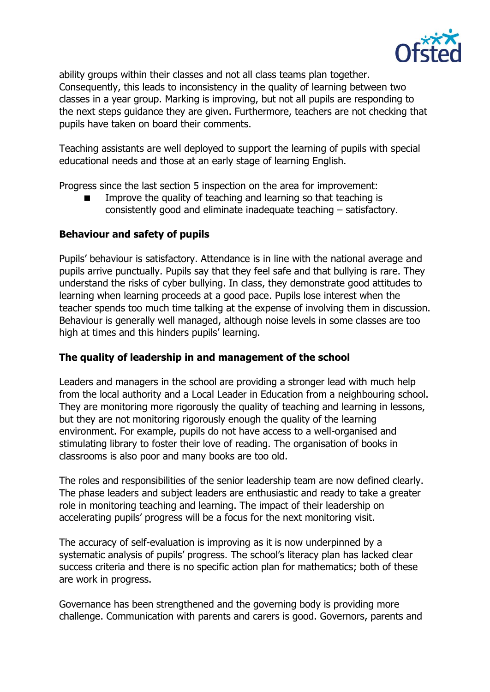

ability groups within their classes and not all class teams plan together. Consequently, this leads to inconsistency in the quality of learning between two classes in a year group. Marking is improving, but not all pupils are responding to the next steps guidance they are given. Furthermore, teachers are not checking that pupils have taken on board their comments.

Teaching assistants are well deployed to support the learning of pupils with special educational needs and those at an early stage of learning English.

Progress since the last section 5 inspection on the area for improvement:

 Improve the quality of teaching and learning so that teaching is consistently good and eliminate inadequate teaching – satisfactory.

#### **Behaviour and safety of pupils**

Pupils' behaviour is satisfactory. Attendance is in line with the national average and pupils arrive punctually. Pupils say that they feel safe and that bullying is rare. They understand the risks of cyber bullying. In class, they demonstrate good attitudes to learning when learning proceeds at a good pace. Pupils lose interest when the teacher spends too much time talking at the expense of involving them in discussion. Behaviour is generally well managed, although noise levels in some classes are too high at times and this hinders pupils' learning.

#### **The quality of leadership in and management of the school**

Leaders and managers in the school are providing a stronger lead with much help from the local authority and a Local Leader in Education from a neighbouring school. They are monitoring more rigorously the quality of teaching and learning in lessons, but they are not monitoring rigorously enough the quality of the learning environment. For example, pupils do not have access to a well-organised and stimulating library to foster their love of reading. The organisation of books in classrooms is also poor and many books are too old.

The roles and responsibilities of the senior leadership team are now defined clearly. The phase leaders and subject leaders are enthusiastic and ready to take a greater role in monitoring teaching and learning. The impact of their leadership on accelerating pupils' progress will be a focus for the next monitoring visit.

The accuracy of self-evaluation is improving as it is now underpinned by a systematic analysis of pupils' progress. The school's literacy plan has lacked clear success criteria and there is no specific action plan for mathematics; both of these are work in progress.

Governance has been strengthened and the governing body is providing more challenge. Communication with parents and carers is good. Governors, parents and